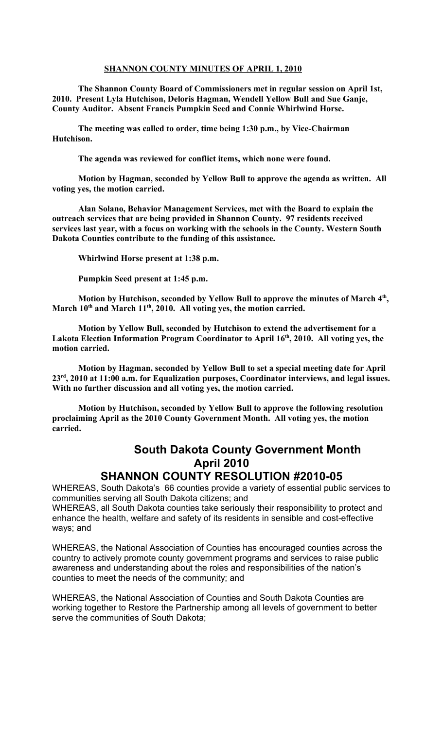## **SHANNON COUNTY MINUTES OF APRIL 1, 2010**

**The Shannon County Board of Commissioners met in regular session on April 1st, 2010. Present Lyla Hutchison, Deloris Hagman, Wendell Yellow Bull and Sue Ganje, County Auditor. Absent Francis Pumpkin Seed and Connie Whirlwind Horse.**

**The meeting was called to order, time being 1:30 p.m., by Vice-Chairman Hutchison.**

**The agenda was reviewed for conflict items, which none were found.**

**Motion by Hagman, seconded by Yellow Bull to approve the agenda as written. All voting yes, the motion carried.**

**Alan Solano, Behavior Management Services, met with the Board to explain the outreach services that are being provided in Shannon County. 97 residents received services last year, with a focus on working with the schools in the County. Western South Dakota Counties contribute to the funding of this assistance.** 

**Whirlwind Horse present at 1:38 p.m.**

**Pumpkin Seed present at 1:45 p.m.**

**Motion by Hutchison, seconded by Yellow Bull to approve the minutes of March 4th , March 10th and March 11th, 2010. All voting yes, the motion carried.**

**Motion by Yellow Bull, seconded by Hutchison to extend the advertisement for a Lakota Election Information Program Coordinator to April 16th, 2010. All voting yes, the motion carried.**

**Motion by Hagman, seconded by Yellow Bull to set a special meeting date for April 23rd, 2010 at 11:00 a.m. for Equalization purposes, Coordinator interviews, and legal issues. With no further discussion and all voting yes, the motion carried.**

**Motion by Hutchison, seconded by Yellow Bull to approve the following resolution proclaiming April as the 2010 County Government Month. All voting yes, the motion carried.**

## **South Dakota County Government Month April 2010**

## **SHANNON COUNTY RESOLUTION #2010-05**

WHEREAS, South Dakota's 66 counties provide a variety of essential public services to communities serving all South Dakota citizens; and

WHEREAS, all South Dakota counties take seriously their responsibility to protect and enhance the health, welfare and safety of its residents in sensible and cost-effective ways; and

WHEREAS, the National Association of Counties has encouraged counties across the country to actively promote county government programs and services to raise public awareness and understanding about the roles and responsibilities of the nation's counties to meet the needs of the community; and

WHEREAS, the National Association of Counties and South Dakota Counties are working together to Restore the Partnership among all levels of government to better serve the communities of South Dakota;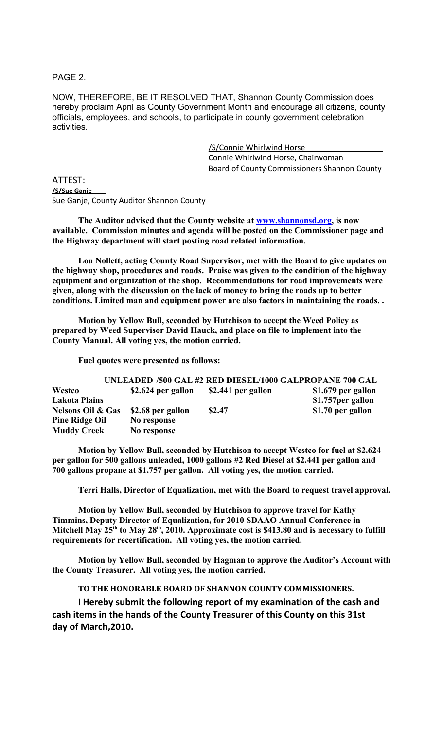PAGE 2.

NOW, THEREFORE, BE IT RESOLVED THAT, Shannon County Commission does hereby proclaim April as County Government Month and encourage all citizens, county officials, employees, and schools, to participate in county government celebration activities.

> /S/Connie Whirlwind Horse\_\_\_\_\_\_\_\_\_\_\_\_\_\_\_\_\_\_ Connie Whirlwind Horse, Chairwoman Board of County Commissioners Shannon County

ATTEST: **/S/Sue Ganje\_\_\_\_** Sue Ganje, County Auditor Shannon County

**The Auditor advised that the County website at [www.shannonsd.org,](http://www.shannonsd.org/) is now available. Commission minutes and agenda will be posted on the Commissioner page and the Highway department will start posting road related information.**

**Lou Nollett, acting County Road Supervisor, met with the Board to give updates on the highway shop, procedures and roads. Praise was given to the condition of the highway equipment and organization of the shop. Recommendations for road improvements were given, along with the discussion on the lack of money to bring the roads up to better conditions. Limited man and equipment power are also factors in maintaining the roads. .** 

**Motion by Yellow Bull, seconded by Hutchison to accept the Weed Policy as prepared by Weed Supervisor David Hauck, and place on file to implement into the County Manual. All voting yes, the motion carried.**

**Fuel quotes were presented as follows:** 

|                              |                    |                    | UNLEADED /500 GAL #2 RED DIESEL/1000 GALPROPANE 700 GAL |
|------------------------------|--------------------|--------------------|---------------------------------------------------------|
| Westco                       | \$2.624 per gallon | \$2.441 per gallon | \$1.679 per gallon                                      |
| <b>Lakota Plains</b>         |                    |                    | \$1.757 per gallon                                      |
| <b>Nelsons Oil &amp; Gas</b> | \$2.68 per gallon  | \$2.47             | \$1.70 per gallon                                       |
| <b>Pine Ridge Oil</b>        | No response        |                    |                                                         |
| <b>Muddy Creek</b>           | No response        |                    |                                                         |

**Motion by Yellow Bull, seconded by Hutchison to accept Westco for fuel at \$2.624 per gallon for 500 gallons unleaded, 1000 gallons #2 Red Diesel at \$2.441 per gallon and 700 gallons propane at \$1.757 per gallon. All voting yes, the motion carried.**

**Terri Halls, Director of Equalization, met with the Board to request travel approval.**

**Motion by Yellow Bull, seconded by Hutchison to approve travel for Kathy Timmins, Deputy Director of Equalization, for 2010 SDAAO Annual Conference in Mitchell May 25th to May 28th, 2010. Approximate cost is \$413.80 and is necessary to fulfill requirements for recertification. All voting yes, the motion carried.**

**Motion by Yellow Bull, seconded by Hagman to approve the Auditor's Account with the County Treasurer. All voting yes, the motion carried.**

**TO THE HONORABLE BOARD OF SHANNON COUNTY COMMISSIONERS.** 

**I Hereby submit the following report of my examination of the cash and cash items in the hands of the County Treasurer of this County on this 31st day of March,2010.**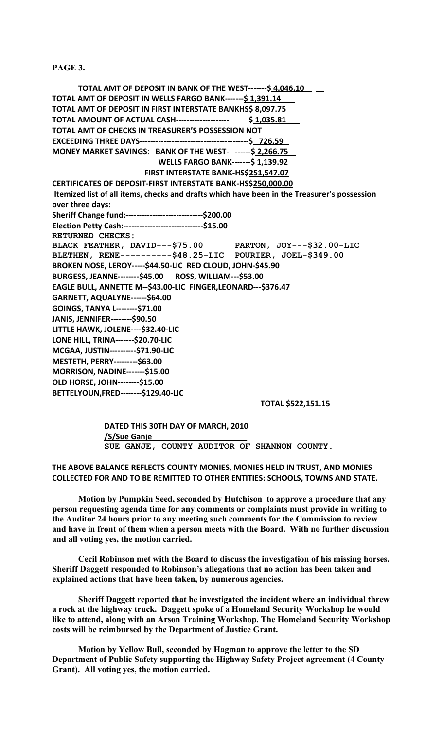**PAGE 3.**

 **TOTAL AMT OF DEPOSIT IN BANK OF THE WEST-------\$ 4,046.10 TOTAL AMT OF DEPOSIT IN WELLS FARGO BANK-------\$ 1,391.14 TOTAL AMT OF DEPOSIT IN FIRST INTERSTATE BANKHS\$ 8,097.75 TOTAL AMOUNT OF ACTUAL CASH**-------------------- **\$ 1,035.81 TOTAL AMT OF CHECKS IN TREASURER'S POSSESSION NOT EXCEEDING THREE DAYS-----------------------------------------\$ 726.59 MONEY MARKET SAVINGS**: **BANK OF THE WEST**- ------**\$ 2,266.75 WELLS FARGO BANK---**----**\$ 1,139.92 FIRST INTERSTATE BANK-HS\$251,547.07 CERTIFICATES OF DEPOSIT-FIRST INTERSTATE BANK-HS\$250,000.00 Itemized list of all items, checks and drafts which have been in the Treasurer's possession over three days: Sheriff Change fund:-----------------------------\$200.00 Election Petty Cash:------------------------------\$15.00 RETURNED CHECKS: BLACK FEATHER, DAVID---\$75.00 PARTON, JOY---\$32.00-LIC BLETHEN, RENE----------\$48.25-LIC POURIER, JOEL-\$349.00 BROKEN NOSE, LEROY-----\$44.50-LIC RED CLOUD, JOHN-\$45.90 BURGESS, JEANNE--------\$45.00 ROSS, WILLIAM---\$53.00 EAGLE BULL, ANNETTE M--\$43.00-LIC FINGER,LEONARD---\$376.47 GARNETT, AQUALYNE------\$64.00 GOINGS, TANYA L--------\$71.00 JANIS, JENNIFER--------\$90.50 LITTLE HAWK, JOLENE----\$32.40-LIC LONE HILL, TRINA-------\$20.70-LIC MCGAA, JUSTIN----------\$71.90-LIC MESTETH, PERRY---------\$63.00 MORRISON, NADINE-------\$15.00 OLD HORSE, JOHN--------\$15.00 BETTELYOUN,FRED--------\$129.40-LIC**

**TOTAL \$522,151.15**

**DATED THIS 30TH DAY OF MARCH, 2010 /S/Sue Ganje\_\_\_\_\_\_\_\_\_\_\_\_\_\_\_\_\_\_\_\_\_\_ SUE GANJE, COUNTY AUDITOR OF SHANNON COUNTY.**

**THE ABOVE BALANCE REFLECTS COUNTY MONIES, MONIES HELD IN TRUST, AND MONIES COLLECTED FOR AND TO BE REMITTED TO OTHER ENTITIES: SCHOOLS, TOWNS AND STATE.**

**Motion by Pumpkin Seed, seconded by Hutchison to approve a procedure that any person requesting agenda time for any comments or complaints must provide in writing to the Auditor 24 hours prior to any meeting such comments for the Commission to review and have in front of them when a person meets with the Board. With no further discussion and all voting yes, the motion carried.**

**Cecil Robinson met with the Board to discuss the investigation of his missing horses. Sheriff Daggett responded to Robinson's allegations that no action has been taken and explained actions that have been taken, by numerous agencies.**

**Sheriff Daggett reported that he investigated the incident where an individual threw a rock at the highway truck. Daggett spoke of a Homeland Security Workshop he would like to attend, along with an Arson Training Workshop. The Homeland Security Workshop costs will be reimbursed by the Department of Justice Grant.**

**Motion by Yellow Bull, seconded by Hagman to approve the letter to the SD Department of Public Safety supporting the Highway Safety Project agreement (4 County Grant). All voting yes, the motion carried.**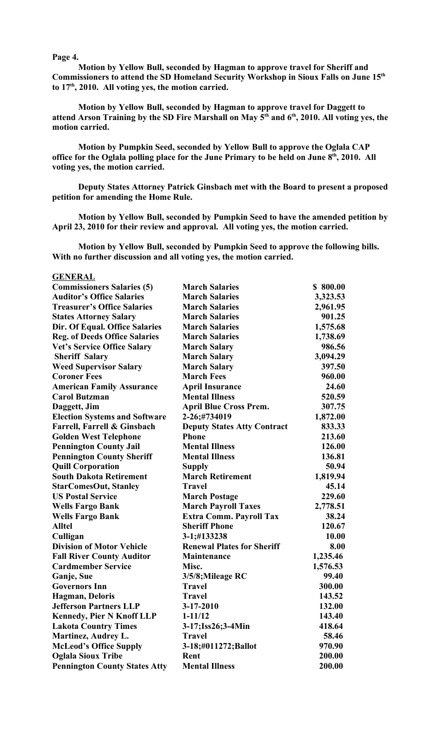## **Page 4.**

**Motion by Yellow Bull, seconded by Hagman to approve travel for Sheriff and Commissioners to attend the SD Homeland Security Workshop in Sioux Falls on June 15th to 17th, 2010. All voting yes, the motion carried.**

**Motion by Yellow Bull, seconded by Hagman to approve travel for Daggett to attend Arson Training by the SD Fire Marshall on May 5th and 6th, 2010. All voting yes, the motion carried.**

**Motion by Pumpkin Seed, seconded by Yellow Bull to approve the Oglala CAP office for the Oglala polling place for the June Primary to be held on June 8th, 2010. All voting yes, the motion carried.**

**Deputy States Attorney Patrick Ginsbach met with the Board to present a proposed petition for amending the Home Rule.**

**Motion by Yellow Bull, seconded by Pumpkin Seed to have the amended petition by April 23, 2010 for their review and approval. All voting yes, the motion carried.**

**Motion by Yellow Bull, seconded by Pumpkin Seed to approve the following bills. With no further discussion and all voting yes, the motion carried.**

**GENERAL**

| <b>Commissioners Salaries (5)</b>    | <b>March Salaries</b>              | \$800.00 |
|--------------------------------------|------------------------------------|----------|
| <b>Auditor's Office Salaries</b>     | <b>March Salaries</b>              | 3,323.53 |
| <b>Treasurer's Office Salaries</b>   | <b>March Salaries</b>              | 2,961.95 |
| <b>States Attorney Salary</b>        | <b>March Salaries</b>              | 901.25   |
| Dir. Of Equal. Office Salaries       | <b>March Salaries</b>              | 1,575.68 |
| <b>Reg. of Deeds Office Salaries</b> | <b>March Salaries</b>              | 1,738.69 |
| <b>Vet's Service Office Salary</b>   | <b>March Salary</b>                | 986.56   |
| <b>Sheriff Salary</b>                | <b>March Salary</b>                | 3,094.29 |
| <b>Weed Supervisor Salary</b>        | <b>March Salary</b>                | 397.50   |
| <b>Coroner Fees</b>                  | <b>March Fees</b>                  | 960.00   |
| <b>American Family Assurance</b>     | <b>April Insurance</b>             | 24.60    |
| <b>Carol Butzman</b>                 | <b>Mental Illness</b>              | 520.59   |
| Daggett, Jim                         | <b>April Blue Cross Prem.</b>      | 307.75   |
| <b>Election Systems and Software</b> | 2-26;#734019                       | 1,872.00 |
| Farrell, Farrell & Ginsbach          | <b>Deputy States Atty Contract</b> | 833.33   |
| <b>Golden West Telephone</b>         | <b>Phone</b>                       | 213.60   |
| <b>Pennington County Jail</b>        | <b>Mental Illness</b>              | 126.00   |
| <b>Pennington County Sheriff</b>     | <b>Mental Illness</b>              | 136.81   |
| <b>Quill Corporation</b>             | <b>Supply</b>                      | 50.94    |
| <b>South Dakota Retirement</b>       | <b>March Retirement</b>            | 1,819.94 |
| <b>StarComesOut, Stanley</b>         | <b>Travel</b>                      | 45.14    |
| <b>US Postal Service</b>             | <b>March Postage</b>               | 229.60   |
| <b>Wells Fargo Bank</b>              | <b>March Payroll Taxes</b>         | 2,778.51 |
| <b>Wells Fargo Bank</b>              | Extra Comm. Payroll Tax            | 38.24    |
| <b>Alltel</b>                        | <b>Sheriff Phone</b>               | 120.67   |
| Culligan                             | 3-1;#133238                        | 10.00    |
| <b>Division of Motor Vehicle</b>     | <b>Renewal Plates for Sheriff</b>  | 8.00     |
| <b>Fall River County Auditor</b>     | <b>Maintenance</b>                 | 1,235.46 |
| <b>Cardmember Service</b>            | Misc.                              | 1,576.53 |
| Ganje, Sue                           | 3/5/8; Mileage RC                  | 99.40    |
| <b>Governors Inn</b>                 | <b>Travel</b>                      | 300.00   |
| <b>Hagman</b> , Deloris              | <b>Travel</b>                      | 143.52   |
| <b>Jefferson Partners LLP</b>        | 3-17-2010                          | 132.00   |
| <b>Kennedy, Pier N Knoff LLP</b>     | $1 - 11/12$                        | 143.40   |
| <b>Lakota Country Times</b>          | 3-17; Iss26; 3-4Min                | 418.64   |
| Martinez, Audrey L.                  | <b>Travel</b>                      | 58.46    |
| <b>McLeod's Office Supply</b>        | 3-18;#011272;Ballot                | 970.90   |
| <b>Oglala Sioux Tribe</b>            | Rent                               | 200.00   |
| <b>Pennington County States Atty</b> | <b>Mental Illness</b>              | 200.00   |